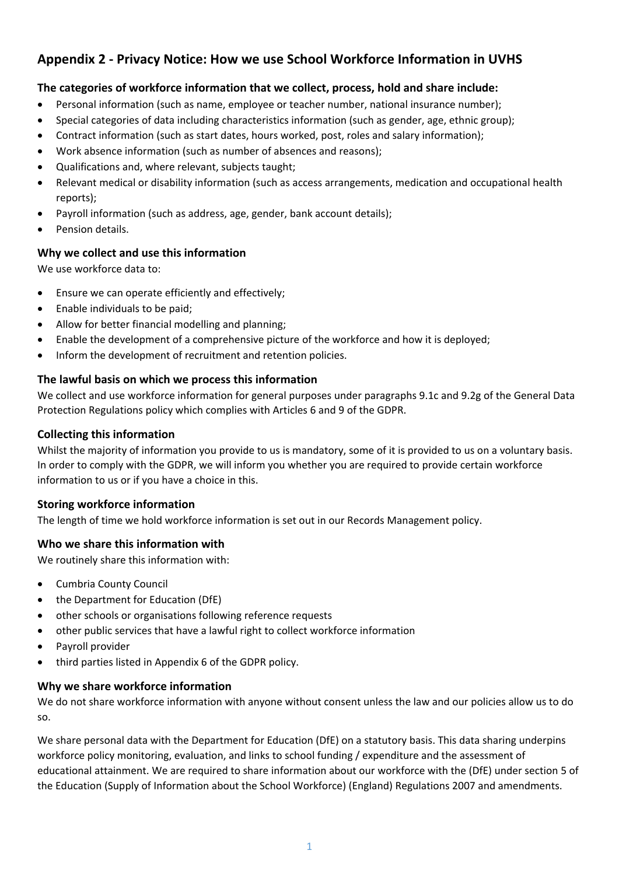# **Appendix 2 - Privacy Notice: How we use School Workforce Information in UVHS**

## **The categories of workforce information that we collect, process, hold and share include:**

- Personal information (such as name, employee or teacher number, national insurance number);
- Special categories of data including characteristics information (such as gender, age, ethnic group);
- Contract information (such as start dates, hours worked, post, roles and salary information);
- Work absence information (such as number of absences and reasons);
- Qualifications and, where relevant, subjects taught;
- Relevant medical or disability information (such as access arrangements, medication and occupational health reports);
- Payroll information (such as address, age, gender, bank account details);
- Pension details.

## **Why we collect and use this information**

We use workforce data to:

- Ensure we can operate efficiently and effectively;
- Enable individuals to be paid;
- Allow for better financial modelling and planning;
- Enable the development of a comprehensive picture of the workforce and how it is deployed;
- Inform the development of recruitment and retention policies.

## **The lawful basis on which we process this information**

We collect and use workforce information for general purposes under paragraphs 9.1c and 9.2g of the General Data Protection Regulations policy which complies with Articles 6 and 9 of the GDPR.

### **Collecting this information**

Whilst the majority of information you provide to us is mandatory, some of it is provided to us on a voluntary basis. In order to comply with the GDPR, we will inform you whether you are required to provide certain workforce information to us or if you have a choice in this.

#### **Storing workforce information**

The length of time we hold workforce information is set out in our Records Management policy.

#### **Who we share this information with**

We routinely share this information with:

- Cumbria County Council
- the Department for Education (DfE)
- other schools or organisations following reference requests
- other public services that have a lawful right to collect workforce information
- Payroll provider
- third parties listed in Appendix 6 of the GDPR policy.

#### **Why we share workforce information**

We do not share workforce information with anyone without consent unless the law and our policies allow us to do so.

We share personal data with the Department for Education (DfE) on a statutory basis. This data sharing underpins workforce policy monitoring, evaluation, and links to school funding / expenditure and the assessment of educational attainment. We are required to share information about our workforce with the (DfE) under section 5 of the Education (Supply of Information about the School Workforce) (England) Regulations 2007 and amendments.